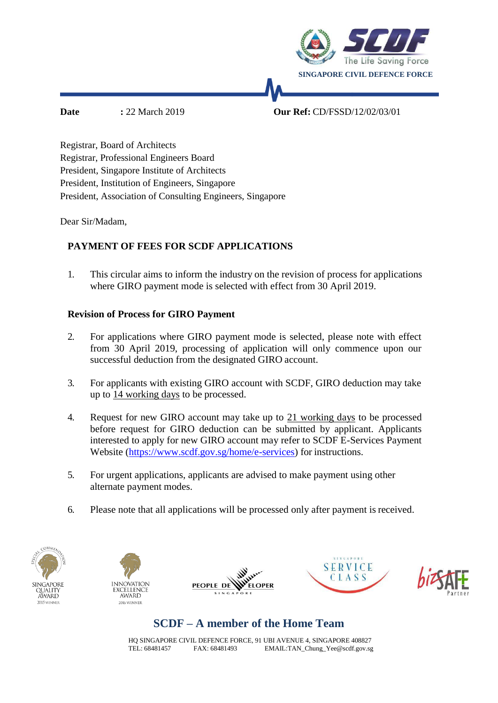

**Date :** 22 March 2019 **Our Ref:** CD/FSSD/12/02/03/01

Registrar, Board of Architects Registrar, Professional Engineers Board President, Singapore Institute of Architects President, Institution of Engineers, Singapore President, Association of Consulting Engineers, Singapore

Dear Sir/Madam,

### **PAYMENT OF FEES FOR SCDF APPLICATIONS**

1. This circular aims to inform the industry on the revision of process for applications where GIRO payment mode is selected with effect from 30 April 2019.

### **Revision of Process for GIRO Payment**

- 2. For applications where GIRO payment mode is selected, please note with effect from 30 April 2019, processing of application will only commence upon our successful deduction from the designated GIRO account.
- 3. For applicants with existing GIRO account with SCDF, GIRO deduction may take up to 14 working days to be processed.
- 4. Request for new GIRO account may take up to 21 working days to be processed before request for GIRO deduction can be submitted by applicant. Applicants interested to apply for new GIRO account may refer to SCDF E-Services Payment Website [\(https://www.scdf.gov.sg/home/e-services\)](https://www.scdf.gov.sg/home/e-services) for instructions.
- 5. For urgent applications, applicants are advised to make payment using other alternate payment modes.
- 6. Please note that all applications will be processed only after payment is received.











# **SCDF – A member of the Home Team**

HQ SINGAPORE CIVIL DEFENCE FORCE, 91 UBI AVENUE 4, SINGAPORE 408827 TEL: 68481457 FAX: 68481493 [EMAIL:TAN\\_Chung\\_Yee@scdf.gov.sg](mailto:TAN_Chung_Yee@scdf.gov.sg)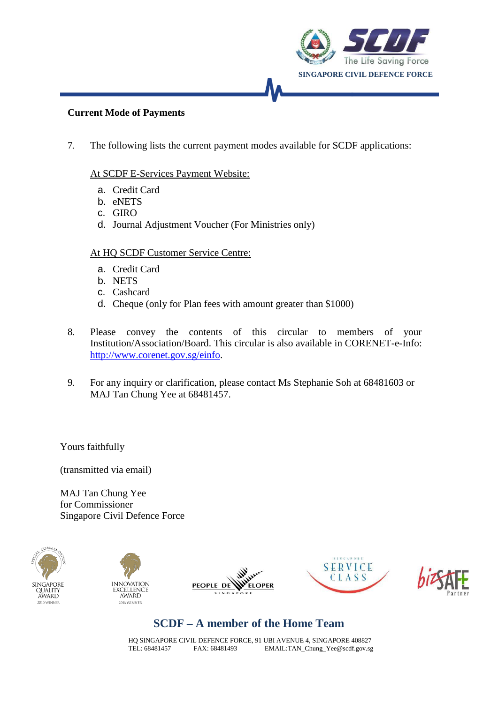

#### **Current Mode of Payments**

7. The following lists the current payment modes available for SCDF applications:

#### At SCDF E-Services Payment Website:

- a. Credit Card
- b. eNETS
- c. GIRO
- d. Journal Adjustment Voucher (For Ministries only)

#### At HQ SCDF Customer Service Centre:

- a. Credit Card
- b. NETS
- c. Cashcard
- d. Cheque (only for Plan fees with amount greater than \$1000)
- 8. Please convey the contents of this circular to members of your Institution/Association/Board. This circular is also available in CORENET-e-Info: [http://www.corenet.gov.sg/einfo.](http://www.corenet.gov.sg/einfo)
- 9. For any inquiry or clarification, please contact Ms Stephanie Soh at 68481603 or MAJ Tan Chung Yee at 68481457.

Yours faithfully

(transmitted via email)

MAJ Tan Chung Yee for Commissioner Singapore Civil Defence Force











# **SCDF – A member of the Home Team**

HQ SINGAPORE CIVIL DEFENCE FORCE, 91 UBI AVENUE 4, SINGAPORE 408827 TEL: 68481457 FAX: 68481493 [EMAIL:TAN\\_Chung\\_Yee@scdf.gov.sg](mailto:TAN_Chung_Yee@scdf.gov.sg)